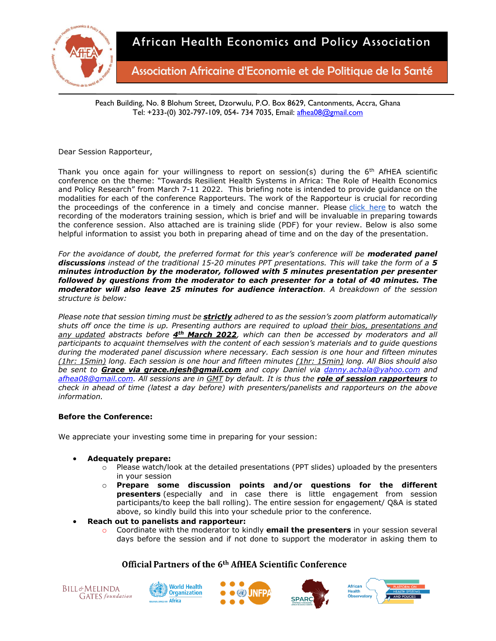

Association Africaine d'Economie et de Politique de la Santé

Peach Building, No. 8 Blohum Street, Dzorwulu, P.O. Box 8629, Cantonments, Accra, Ghana Tel: +233-(0) 302-797-109, 054- 734 7035, Email: [afhea08@gmail.com](mailto:afhea08@gmail.com)

Dear Session Rapporteur,

Thank you once again for your willingness to report on session(s) during the  $6<sup>th</sup>$  AfHEA scientific conference on the theme: "Towards Resilient Health Systems in Africa: The Role of Health Economics and Policy Research" from March 7-11 2022. This briefing note is intended to provide guidance on the modalities for each of the conference Rapporteurs. The work of the Rapporteur is crucial for recording the proceedings of the conference in a timely and concise manner. Please [click here](https://zoom.us/rec/play/8N6QWp0CrvDQJ-Z2foMIBbDq4CZWH4PbH626c4mqKqchSCOQFqAUcPIsXzIpdzQGAzbVryfQYWDc-znl.tSr1LT4wFNVTERYI?autoplay=true) to watch the recording of the moderators training session, which is brief and will be invaluable in preparing towards the conference session. Also attached are is training slide (PDF) for your review. Below is also some helpful information to assist you both in preparing ahead of time and on the day of the presentation.

For the avoidance of doubt, the preferred format for this year's conference will be **moderated panel** *discussions instead of the traditional 15-20 minutes PPT presentations. This will take the form of a 5 minutes introduction by the moderator, followed with 5 minutes presentation per presenter followed by questions from the moderator to each presenter for a total of 40 minutes. The moderator will also leave 25 minutes for audience interaction. A breakdown of the session structure is below:*

*Please note that session timing must be strictly adhered to as the session's zoom platform automatically shuts off once the time is up. Presenting authors are required to upload their bios, presentations and any updated abstracts before 4th March 2022, which can then be accessed by moderators and all participants to acquaint themselves with the content of each session's materials and to guide questions during the moderated panel discussion where necessary. Each session is one hour and fifteen minutes (1hr: 15min) long. Each session is one hour and fifteen minutes (1hr: 15min) long. All Bios should also be sent to Grace via grace.njesh@gmail.com and copy Daniel via [danny.achala@yahoo.com](mailto:danny.achala@yahoo.com) and [afhea08@gmail.com.](mailto:afhea08@gmail.com) All sessions are in GMT by default. It is thus the role of session rapporteurs to check in ahead of time (latest a day before) with presenters/panelists and rapporteurs on the above information.*

### **Before the Conference:**

We appreciate your investing some time in preparing for your session:

- **Adequately prepare:**
	- o Please watch/look at the detailed presentations (PPT slides) uploaded by the presenters in your session
	- o **Prepare some discussion points and/or questions for the different presenters** (especially and in case there is little engagement from session participants/to keep the ball rolling). The entire session for engagement/ Q&A is stated above, so kindly build this into your schedule prior to the conference.
- **Reach out to panelists and rapporteur:**
	- o Coordinate with the moderator to kindly **email the presenters** in your session several days before the session and if not done to support the moderator in asking them to









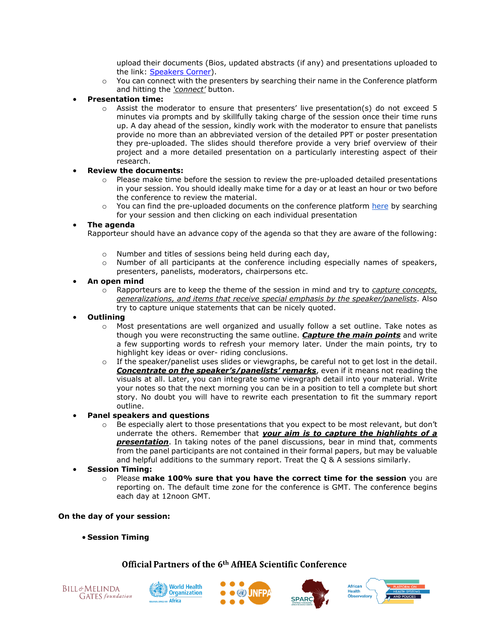upload their documents (Bios, updated abstracts (if any) and presentations uploaded to the link: [Speakers Corner\)](Speakers%20Corner:%20https:/afhea.confex.com/afhea/2022/abstractsen/extra/index.cgi?EntryType=Paper&username=1626&password=*cookie).

- o You can connect with the presenters by searching their name in the Conference platform and hitting the *'connect'* button.
- **Presentation time:**
	- $\circ$  Assist the moderator to ensure that presenters' live presentation(s) do not exceed 5 minutes via prompts and by skillfully taking charge of the session once their time runs up. A day ahead of the session, kindly work with the moderator to ensure that panelists provide no more than an abbreviated version of the detailed PPT or poster presentation they pre-uploaded. The slides should therefore provide a very brief overview of their project and a more detailed presentation on a particularly interesting aspect of their research.

### • **Review the documents:**

- $\circ$  Please make time before the session to review the pre-uploaded detailed presentations in your session. You should ideally make time for a day or at least an hour or two before the conference to review the material.
- $\circ$  You can find the pre-uploaded documents on the conference platform [here](https://afhea.confex.com/afhea/2022/meetingapp.cgi/Home/0) by searching for your session and then clicking on each individual presentation

### • **The agenda**

Rapporteur should have an advance copy of the agenda so that they are aware of the following:

- o Number and titles of sessions being held during each day,
- $\circ$  Number of all participants at the conference including especially names of speakers, presenters, panelists, moderators, chairpersons etc.

## • **An open mind**

- o Rapporteurs are to keep the theme of the session in mind and try to *capture concepts, generalizations, and items that receive special emphasis by the speaker/panelists*. Also try to capture unique statements that can be nicely quoted.
- **Outlining** 
	- $\circ$  Most presentations are well organized and usually follow a set outline. Take notes as though you were reconstructing the same outline. *Capture the main points* and write a few supporting words to refresh your memory later. Under the main points, try to highlight key ideas or over- riding conclusions.
	- $\circ$  If the speaker/panelist uses slides or viewgraphs, be careful not to get lost in the detail. *Concentrate on the speaker's/panelists' remarks*, even if it means not reading the visuals at all. Later, you can integrate some viewgraph detail into your material. Write your notes so that the next morning you can be in a position to tell a complete but short story. No doubt you will have to rewrite each presentation to fit the summary report outline.
- **Panel speakers and questions** 
	- $\circ$  Be especially alert to those presentations that you expect to be most relevant, but don't underrate the others. Remember that *your aim is to capture the highlights of a presentation*. In taking notes of the panel discussions, bear in mind that, comments from the panel participants are not contained in their formal papers, but may be valuable and helpful additions to the summary report. Treat the Q & A sessions similarly.
- **Session Timing:**
	- o Please **make 100% sure that you have the correct time for the session** you are reporting on. The default time zone for the conference is GMT. The conference begins each day at 12noon GMT.

### **On the day of your session:**

• **Session Timing**









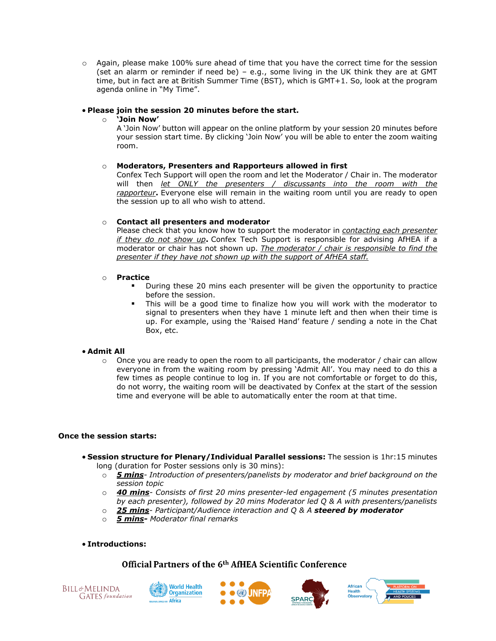o Again, please make 100% sure ahead of time that you have the correct time for the session (set an alarm or reminder if need be) – e.g., some living in the UK think they are at GMT time, but in fact are at British Summer Time (BST), which is GMT+1. So, look at the program agenda online in "My Time".

### • **Please join the session 20 minutes before the start.**

### o **'Join Now'**

A 'Join Now' button will appear on the online platform by your session 20 minutes before your session start time. By clicking 'Join Now' you will be able to enter the zoom waiting room.

### o **Moderators, Presenters and Rapporteurs allowed in first**

Confex Tech Support will open the room and let the Moderator / Chair in. The moderator will then *let ONLY the presenters / discussants into the room with the rapporteur***.** Everyone else will remain in the waiting room until you are ready to open the session up to all who wish to attend.

### o **Contact all presenters and moderator**

Please check that you know how to support the moderator in *contacting each presenter if they do not show up***.** Confex Tech Support is responsible for advising AfHEA if a moderator or chair has not shown up. *The moderator / chair is responsible to find the presenter if they have not shown up with the support of AfHEA staff.*

### o **Practice**

- During these 20 mins each presenter will be given the opportunity to practice before the session.
- This will be a good time to finalize how you will work with the moderator to signal to presenters when they have 1 minute left and then when their time is up. For example, using the 'Raised Hand' feature / sending a note in the Chat Box, etc.

### • **Admit All**

 $\circ$  Once you are ready to open the room to all participants, the moderator / chair can allow everyone in from the waiting room by pressing 'Admit All'. You may need to do this a few times as people continue to log in. If you are not comfortable or forget to do this, do not worry, the waiting room will be deactivated by Confex at the start of the session time and everyone will be able to automatically enter the room at that time.

### **Once the session starts:**

- **Session structure for Plenary/Individual Parallel sessions:** The session is 1hr:15 minutes long (duration for Poster sessions only is 30 mins):
	- o *5 mins- Introduction of presenters/panelists by moderator and brief background on the session topic*
	- o *40 mins- Consists of first 20 mins presenter-led engagement (5 minutes presentation by each presenter), followed by 20 mins Moderator led Q & A with presenters/panelists*
	- o *25 mins- Participant/Audience interaction and Q & A steered by moderator*
	- o *5 mins- Moderator final remarks*

### • **Introductions:**







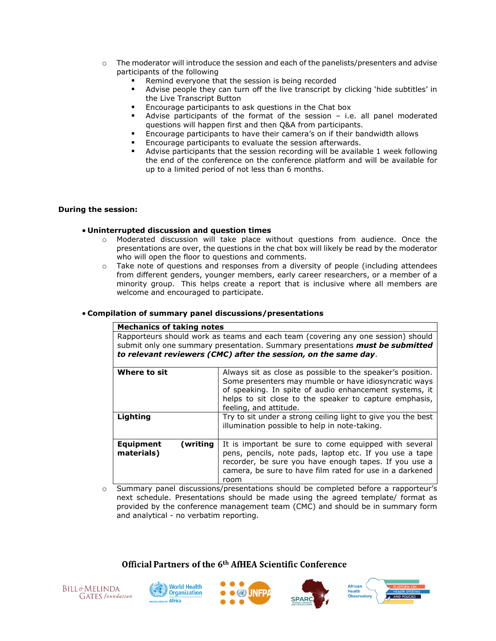- o The moderator will introduce the session and each of the panelists/presenters and advise participants of the following
	- Remind everyone that the session is being recorded
	- Advise people they can turn off the live transcript by clicking 'hide subtitles' in the Live Transcript Button
	- Encourage participants to ask questions in the Chat box
	- Advise participants of the format of the session  $-$  i.e. all panel moderated questions will happen first and then Q&A from participants.
	- Encourage participants to have their camera's on if their bandwidth allows
	- Encourage participants to evaluate the session afterwards.
	- Advise participants that the session recording will be available 1 week following the end of the conference on the conference platform and will be available for up to a limited period of not less than 6 months.

#### **During the session:**

#### • **Uninterrupted discussion and question times**

- o Moderated discussion will take place without questions from audience. Once the presentations are over, the questions in the chat box will likely be read by the moderator who will open the floor to questions and comments.
- o Take note of questions and responses from a diversity of people (including attendees from different genders, younger members, early career researchers, or a member of a minority group. This helps create a report that is inclusive where all members are welcome and encouraged to participate.

#### • **Compilation of summary panel discussions/presentations**

| <b>Mechanics of taking notes</b>                                                                                                                                                                                                     |                                                                                                                                                                                                                                                                   |
|--------------------------------------------------------------------------------------------------------------------------------------------------------------------------------------------------------------------------------------|-------------------------------------------------------------------------------------------------------------------------------------------------------------------------------------------------------------------------------------------------------------------|
| Rapporteurs should work as teams and each team (covering any one session) should<br>submit only one summary presentation. Summary presentations must be submitted<br>to relevant reviewers (CMC) after the session, on the same day. |                                                                                                                                                                                                                                                                   |
| Where to sit                                                                                                                                                                                                                         | Always sit as close as possible to the speaker's position.<br>Some presenters may mumble or have idiosyncratic ways<br>of speaking. In spite of audio enhancement systems, it<br>helps to sit close to the speaker to capture emphasis,<br>feeling, and attitude. |
| Lighting                                                                                                                                                                                                                             | Try to sit under a strong ceiling light to give you the best<br>illumination possible to help in note-taking.                                                                                                                                                     |
| <b>Equipment</b><br>(writing)<br>materials)                                                                                                                                                                                          | It is important be sure to come equipped with several<br>pens, pencils, note pads, laptop etc. If you use a tape<br>recorder, be sure you have enough tapes. If you use a<br>camera, be sure to have film rated for use in a darkened<br>room                     |

o Summary panel discussions/presentations should be completed before a rapporteur's next schedule. Presentations should be made using the agreed template/ format as provided by the conference management team (CMC) and should be in summary form and analytical - no verbatim reporting.